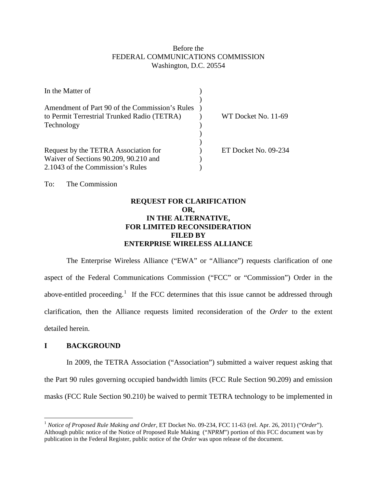### Before the FEDERAL COMMUNICATIONS COMMISSION Washington, D.C. 20554

| In the Matter of                                                                              |                      |
|-----------------------------------------------------------------------------------------------|----------------------|
| Amendment of Part 90 of the Commission's Rules<br>to Permit Terrestrial Trunked Radio (TETRA) | WT Docket No. 11-69  |
| Technology                                                                                    |                      |
|                                                                                               |                      |
| Request by the TETRA Association for                                                          | ET Docket No. 09-234 |
| Waiver of Sections 90.209, 90.210 and                                                         |                      |
| 2.1043 of the Commission's Rules                                                              |                      |

To: The Commission

# **REQUEST FOR CLARIFICATION OR, IN THE ALTERNATIVE, FOR LIMITED RECONSIDERATION FILED BY ENTERPRISE WIRELESS ALLIANCE**

The Enterprise Wireless Alliance ("EWA" or "Alliance") requests clarification of one aspect of the Federal Communications Commission ("FCC" or "Commission") Order in the above-entitled proceeding.<sup>[1](#page-0-0)</sup> If the FCC determines that this issue cannot be addressed through clarification, then the Alliance requests limited reconsideration of the *Order* to the extent detailed herein.

#### **I BACKGROUND**

In 2009, the TETRA Association ("Association") submitted a waiver request asking that the Part 90 rules governing occupied bandwidth limits (FCC Rule Section 90.209) and emission masks (FCC Rule Section 90.210) be waived to permit TETRA technology to be implemented in

<span id="page-0-0"></span> <sup>1</sup> *Notice of Proposed Rule Making and Order,* ET Docket No. 09-234, FCC 11-63 (rel. Apr. 26, 2011) ("*Order*"). Although public notice of the Notice of Proposed Rule Making ("*NPRM*") portion of this FCC document was by publication in the Federal Register, public notice of the *Order* was upon release of the document.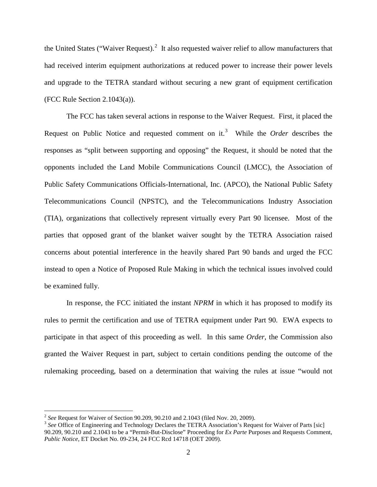the United States ("Waiver Request).<sup>[2](#page-1-0)</sup> It also requested waiver relief to allow manufacturers that had received interim equipment authorizations at reduced power to increase their power levels and upgrade to the TETRA standard without securing a new grant of equipment certification (FCC Rule Section 2.1043(a)).

The FCC has taken several actions in response to the Waiver Request. First, it placed the Request on Public Notice and requested comment on it. [3](#page-1-1) While the *Order* describes the responses as "split between supporting and opposing" the Request, it should be noted that the opponents included the Land Mobile Communications Council (LMCC), the Association of Public Safety Communications Officials-International, Inc. (APCO), the National Public Safety Telecommunications Council (NPSTC), and the Telecommunications Industry Association (TIA), organizations that collectively represent virtually every Part 90 licensee. Most of the parties that opposed grant of the blanket waiver sought by the TETRA Association raised concerns about potential interference in the heavily shared Part 90 bands and urged the FCC instead to open a Notice of Proposed Rule Making in which the technical issues involved could be examined fully.

In response, the FCC initiated the instant *NPRM* in which it has proposed to modify its rules to permit the certification and use of TETRA equipment under Part 90. EWA expects to participate in that aspect of this proceeding as well. In this same *Order,* the Commission also granted the Waiver Request in part, subject to certain conditions pending the outcome of the rulemaking proceeding, based on a determination that waiving the rules at issue "would not

<span id="page-1-1"></span><span id="page-1-0"></span>

<sup>&</sup>lt;sup>2</sup> *See* Request for Waiver of Section 90.209, 90.210 and 2.1043 (filed Nov. 20, 2009).<br><sup>3</sup> *See* Office of Engineering and Technology Declares the TETRA Association's Request for Waiver of Parts [sic] 90.209, 90.210 and 2.1043 to be a "Permit-But-Disclose" Proceeding for *Ex Parte* Purposes and Requests Comment, *Public Notice*, ET Docket No. 09-234, 24 FCC Rcd 14718 (OET 2009).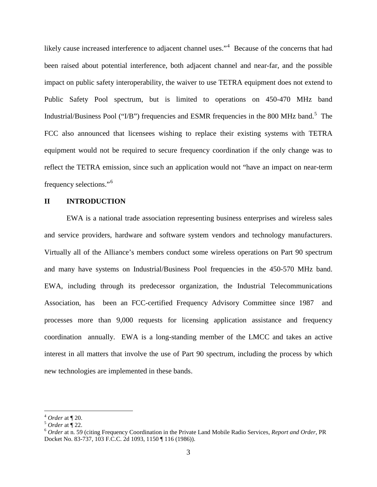likely cause increased interference to adjacent channel uses."<sup>[4](#page-2-0)</sup> Because of the concerns that had been raised about potential interference, both adjacent channel and near-far, and the possible impact on public safety interoperability, the waiver to use TETRA equipment does not extend to Public Safety Pool spectrum, but is limited to operations on 450-470 MHz band Industrial/Business Pool ("I/B") frequencies and ESMR frequencies in the 800 MHz band.<sup>[5](#page-2-1)</sup> The FCC also announced that licensees wishing to replace their existing systems with TETRA equipment would not be required to secure frequency coordination if the only change was to reflect the TETRA emission, since such an application would not "have an impact on near-term frequency selections."[6](#page-2-2)

#### **II INTRODUCTION**

EWA is a national trade association representing business enterprises and wireless sales and service providers, hardware and software system vendors and technology manufacturers. Virtually all of the Alliance's members conduct some wireless operations on Part 90 spectrum and many have systems on Industrial/Business Pool frequencies in the 450-570 MHz band. EWA, including through its predecessor organization, the Industrial Telecommunications Association, has been an FCC-certified Frequency Advisory Committee since 1987 and processes more than 9,000 requests for licensing application assistance and frequency coordination annually. EWA is a long-standing member of the LMCC and takes an active interest in all matters that involve the use of Part 90 spectrum, including the process by which new technologies are implemented in these bands.

<span id="page-2-2"></span><span id="page-2-1"></span>

<span id="page-2-0"></span><sup>4</sup> *Order* at ¶ 20. <sup>5</sup> *Order* at ¶ 22. 6 *Order* at n. 59 (citing Frequency Coordination in the Private Land Mobile Radio Services, *Report and Order*, PR Docket No. 83-737, 103 F.C.C. 2d 1093, 1150 ¶ 116 (1986)).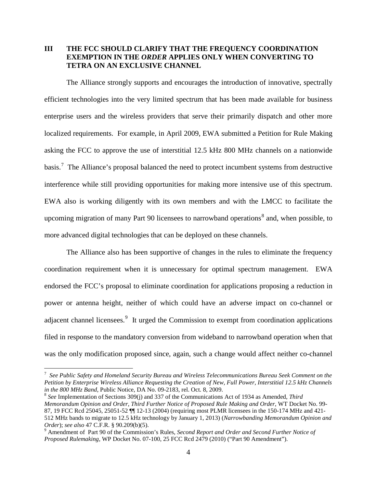# **III THE FCC SHOULD CLARIFY THAT THE FREQUENCY COORDINATION EXEMPTION IN THE** *ORDER* **APPLIES ONLY WHEN CONVERTING TO TETRA ON AN EXCLUSIVE CHANNEL**

The Alliance strongly supports and encourages the introduction of innovative, spectrally efficient technologies into the very limited spectrum that has been made available for business enterprise users and the wireless providers that serve their primarily dispatch and other more localized requirements. For example, in April 2009, EWA submitted a Petition for Rule Making asking the FCC to approve the use of interstitial 12.5 kHz 800 MHz channels on a nationwide basis.<sup>[7](#page-3-0)</sup> The Alliance's proposal balanced the need to protect incumbent systems from destructive interference while still providing opportunities for making more intensive use of this spectrum. EWA also is working diligently with its own members and with the LMCC to facilitate the upcoming migration of many Part 90 licensees to narrowband operations<sup>[8](#page-3-1)</sup> and, when possible, to more advanced digital technologies that can be deployed on these channels.

The Alliance also has been supportive of changes in the rules to eliminate the frequency coordination requirement when it is unnecessary for optimal spectrum management. EWA endorsed the FCC's proposal to eliminate coordination for applications proposing a reduction in power or antenna height, neither of which could have an adverse impact on co-channel or adjacent channel licensees.<sup>[9](#page-3-2)</sup> It urged the Commission to exempt from coordination applications filed in response to the mandatory conversion from wideband to narrowband operation when that was the only modification proposed since, again, such a change would affect neither co-channel

<span id="page-3-0"></span> <sup>7</sup> *See Public Safety and Homeland Security Bureau and Wireless Telecommunications Bureau Seek Comment on the Petition by Enterprise Wireless Alliance Requesting the Creation of New, Full Power, Interstitial 12.5 kHz Channels in the 800 MHz Band,* Public Notice, DA No. 09-2183, rel. Oct. 8, 2009.

<span id="page-3-1"></span><sup>8</sup> *See* Implementation of Sections 309(j) and 337 of the Communications Act of 1934 as Amended, *Third Memorandum Opinion and Order, Third Further Notice of Proposed Rule Making and Order*, WT Docket No. 99- 87, 19 FCC Rcd 25045, 25051-52 ¶¶ 12-13 (2004) (requiring most PLMR licensees in the 150-174 MHz and 421- 512 MHz bands to migrate to 12.5 kHz technology by January 1, 2013) (*Narrowbanding Memorandum Opinion and Order*); *see also* 47 C.F.R. § 90.209(b)(5).<br><sup>9</sup> Amendment of Part 90 of the Commission's Rules, *Second Report and Order and Second Further Notice of* 

<span id="page-3-2"></span>*Proposed Rulemaking,* WP Docket No. 07-100, 25 FCC Rcd 2479 (2010) ("Part 90 Amendment").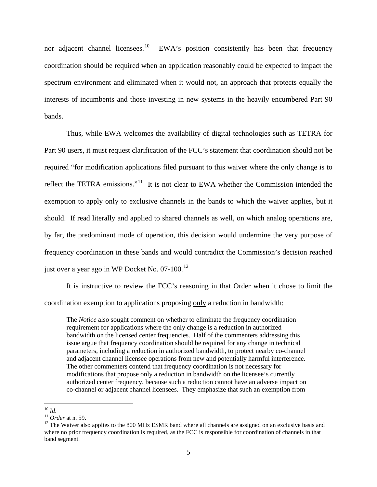nor adjacent channel licensees.<sup>[10](#page-4-0)</sup> EWA's position consistently has been that frequency coordination should be required when an application reasonably could be expected to impact the spectrum environment and eliminated when it would not, an approach that protects equally the interests of incumbents and those investing in new systems in the heavily encumbered Part 90 bands.

Thus, while EWA welcomes the availability of digital technologies such as TETRA for Part 90 users, it must request clarification of the FCC's statement that coordination should not be required "for modification applications filed pursuant to this waiver where the only change is to reflect the TETRA emissions."<sup>[11](#page-4-1)</sup> It is not clear to EWA whether the Commission intended the exemption to apply only to exclusive channels in the bands to which the waiver applies, but it should. If read literally and applied to shared channels as well, on which analog operations are, by far, the predominant mode of operation, this decision would undermine the very purpose of frequency coordination in these bands and would contradict the Commission's decision reached just over a year ago in WP Docket No.  $07-100$ .<sup>[12](#page-4-2)</sup>

It is instructive to review the FCC's reasoning in that Order when it chose to limit the coordination exemption to applications proposing only a reduction in bandwidth:

The *Notice* also sought comment on whether to eliminate the frequency coordination requirement for applications where the only change is a reduction in authorized bandwidth on the licensed center frequencies. Half of the commenters addressing this issue argue that frequency coordination should be required for any change in technical parameters, including a reduction in authorized bandwidth, to protect nearby co-channel and adjacent channel licensee operations from new and potentially harmful interference. The other commenters contend that frequency coordination is not necessary for modifications that propose only a reduction in bandwidth on the licensee's currently authorized center frequency, because such a reduction cannot have an adverse impact on co-channel or adjacent channel licensees. They emphasize that such an exemption from

<span id="page-4-2"></span><span id="page-4-1"></span>

<span id="page-4-0"></span><sup>&</sup>lt;sup>10</sup> *Id.*<br><sup>11</sup> *Order* at n. 59.<br><sup>12</sup> The Waiver also applies to the 800 MHz ESMR band where all channels are assigned on an exclusive basis and where no prior frequency coordination is required, as the FCC is responsible for coordination of channels in that band segment.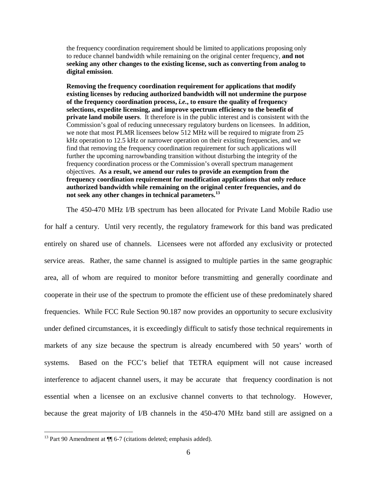the frequency coordination requirement should be limited to applications proposing only to reduce channel bandwidth while remaining on the original center frequency, **and not seeking any other changes to the existing license, such as converting from analog to digital emission**.

**Removing the frequency coordination requirement for applications that modify existing licenses by reducing authorized bandwidth will not undermine the purpose of the frequency coordination process,** *i.e.***, to ensure the quality of frequency selections, expedite licensing, and improve spectrum efficiency to the benefit of private land mobile users**. It therefore is in the public interest and is consistent with the Commission's goal of reducing unnecessary regulatory burdens on licensees. In addition, we note that most PLMR licensees below 512 MHz will be required to migrate from 25 kHz operation to 12.5 kHz or narrower operation on their existing frequencies, and we find that removing the frequency coordination requirement for such applications will further the upcoming narrowbanding transition without disturbing the integrity of the frequency coordination process or the Commission's overall spectrum management objectives. **As a result, we amend our rules to provide an exemption from the frequency coordination requirement for modification applications that only reduce authorized bandwidth while remaining on the original center frequencies, and do not seek any other changes in technical parameters. [13](#page-5-0)** 

The 450-470 MHz I/B spectrum has been allocated for Private Land Mobile Radio use for half a century. Until very recently, the regulatory framework for this band was predicated entirely on shared use of channels. Licensees were not afforded any exclusivity or protected service areas. Rather, the same channel is assigned to multiple parties in the same geographic area, all of whom are required to monitor before transmitting and generally coordinate and cooperate in their use of the spectrum to promote the efficient use of these predominately shared frequencies. While FCC Rule Section 90.187 now provides an opportunity to secure exclusivity under defined circumstances, it is exceedingly difficult to satisfy those technical requirements in markets of any size because the spectrum is already encumbered with 50 years' worth of systems. Based on the FCC's belief that TETRA equipment will not cause increased interference to adjacent channel users, it may be accurate that frequency coordination is not essential when a licensee on an exclusive channel converts to that technology. However, because the great majority of I/B channels in the 450-470 MHz band still are assigned on a

<span id="page-5-0"></span><sup>&</sup>lt;sup>13</sup> Part 90 Amendment at  $\P$  6-7 (citations deleted; emphasis added).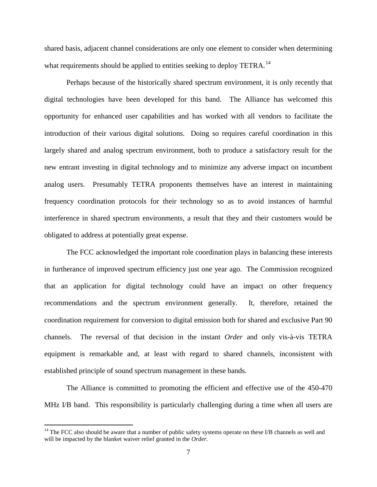shared basis, adjacent channel considerations are only one element to consider when determining what requirements should be applied to entities seeking to deploy TETRA.<sup>[14](#page-6-0)</sup>

Perhaps because of the historically shared spectrum environment, it is only recently that digital technologies have been developed for this band. The Alliance has welcomed this opportunity for enhanced user capabilities and has worked with all vendors to facilitate the introduction of their various digital solutions. Doing so requires careful coordination in this largely shared and analog spectrum environment, both to produce a satisfactory result for the new entrant investing in digital technology and to minimize any adverse impact on incumbent analog users. Presumably TETRA proponents themselves have an interest in maintaining frequency coordination protocols for their technology so as to avoid instances of harmful interference in shared spectrum environments, a result that they and their customers would be obligated to address at potentially great expense.

The FCC acknowledged the important role coordination plays in balancing these interests in furtherance of improved spectrum efficiency just one year ago. The Commission recognized that an application for digital technology could have an impact on other frequency recommendations and the spectrum environment generally. It, therefore, retained the coordination requirement for conversion to digital emission both for shared and exclusive Part 90 channels. The reversal of that decision in the instant *Order* and only vis-à-vis TETRA equipment is remarkable and, at least with regard to shared channels, inconsistent with established principle of sound spectrum management in these bands.

The Alliance is committed to promoting the efficient and effective use of the 450-470 MHz I/B band. This responsibility is particularly challenging during a time when all users are

<span id="page-6-0"></span> $14$  The FCC also should be aware that a number of public safety systems operate on these I/B channels as well and will be impacted by the blanket waiver relief granted in the *Order*.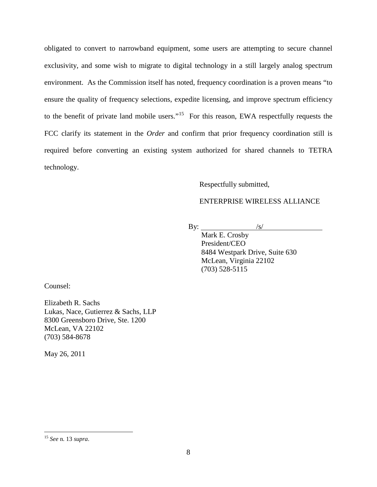obligated to convert to narrowband equipment, some users are attempting to secure channel exclusivity, and some wish to migrate to digital technology in a still largely analog spectrum environment. As the Commission itself has noted, frequency coordination is a proven means "to ensure the quality of frequency selections, expedite licensing, and improve spectrum efficiency to the benefit of private land mobile users."<sup>[15](#page-7-0)</sup> For this reason, EWA respectfully requests the FCC clarify its statement in the *Order* and confirm that prior frequency coordination still is required before converting an existing system authorized for shared channels to TETRA technology.

# Respectfully submitted,

# ENTERPRISE WIRELESS ALLIANCE

By:  $\frac{|s|}{|s|}$ 

Mark E. Crosby President/CEO 8484 Westpark Drive, Suite 630 McLean, Virginia 22102 (703) 528-5115

Counsel:

Elizabeth R. Sachs Lukas, Nace, Gutierrez & Sachs, LLP 8300 Greensboro Drive, Ste. 1200 McLean, VA 22102 (703) 584-8678

May 26, 2011

<span id="page-7-0"></span> <sup>15</sup> *See* n. 13 *supra*.